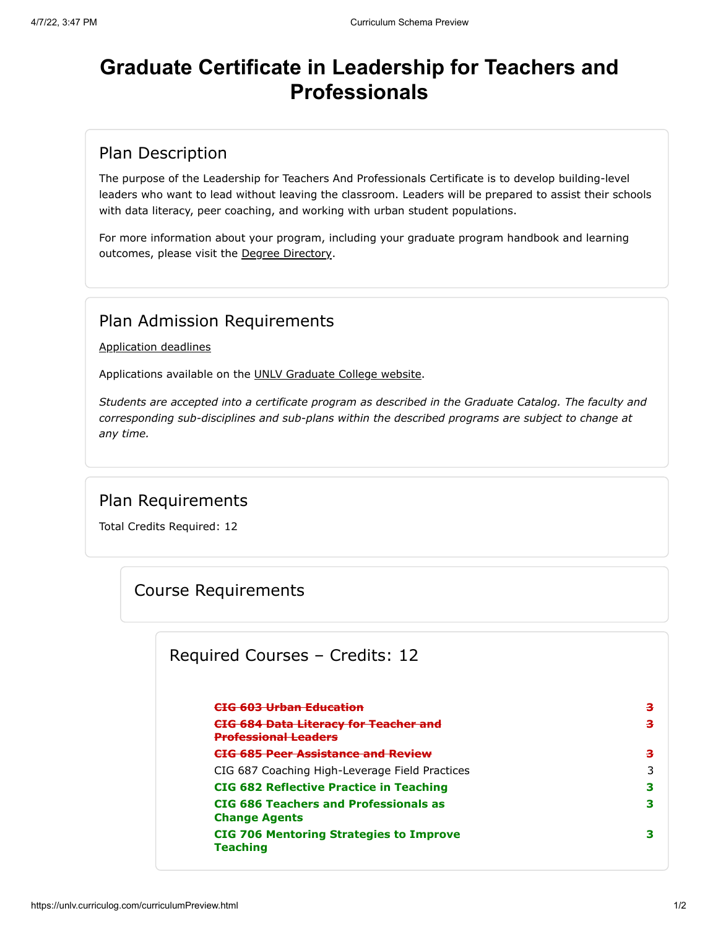# **Graduate Certificate in Leadership for Teachers and Professionals**

#### Plan Description

The purpose of the Leadership for Teachers And Professionals Certificate is to develop building-level leaders who want to lead without leaving the classroom. Leaders will be prepared to assist their schools with data literacy, peer coaching, and working with urban student populations.

For more information about your program, including your graduate program handbook and learning outcomes, please visit the [Degree Directory](https://www.unlv.edu/degree/leadership-teachers-professionals).

#### Plan Admission Requirements

[Application deadlines](http://www.unlv.edu/graduatecollege/application-deadlines)

Applications available on the [UNLV Graduate College website.](http://graduatecollege.unlv.edu/)

*Students are accepted into a certificate program as described in the Graduate Catalog. The faculty and corresponding sub-disciplines and sub-plans within the described programs are subject to change at any time.*

#### Plan Requirements

Total Credits Required: 12

#### Course Requirements

#### Required Courses – Credits: 12

| <del>CTG 603 Urban Education</del>                                              | з |
|---------------------------------------------------------------------------------|---|
| <del>CIG 684 Data Literacy for Teacher and</del><br><b>Professional Leaders</b> | з |
| <del>CIG 685 Peer Assistance and Review</del>                                   | з |
| CIG 687 Coaching High-Leverage Field Practices                                  | 3 |
| <b>CIG 682 Reflective Practice in Teaching</b>                                  | з |
| CIG 686 Teachers and Professionals as<br><b>Change Agents</b>                   | з |
| <b>CIG 706 Mentoring Strategies to Improve</b><br><b>Teaching</b>               | з |